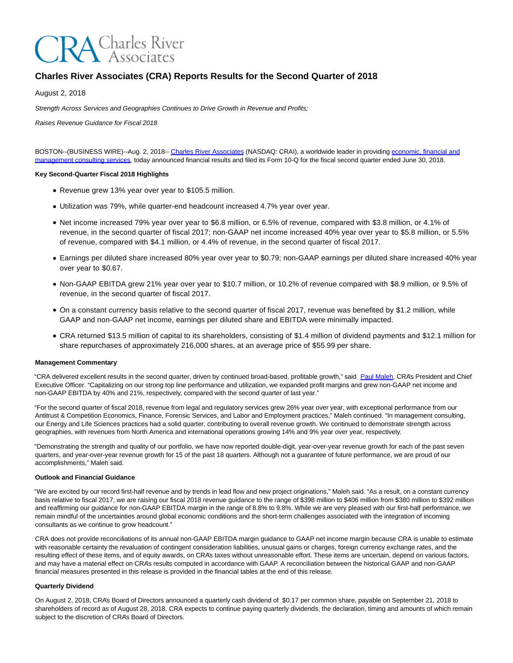# **CRA** Charles River

# **Charles River Associates (CRA) Reports Results for the Second Quarter of 2018**

August 2, 2018

Strength Across Services and Geographies Continues to Drive Growth in Revenue and Profits;

Raises Revenue Guidance for Fiscal 2018

BOSTON--(BUSINESS WIRE)--Aug. 2, 2018-[- Charles River Associates \(](http://cts.businesswire.com/ct/CT?id=smartlink&url=http%3A%2F%2Fwww.crai.com%2FDefault.aspx&esheet=51846950&newsitemid=20180802005412&lan=en-US&anchor=Charles+River+Associates&index=1&md5=1945dda7fbe38b59c0e6f00c37be65e2)NASDAQ: CRAI), a worldwide leader in providin[g economic, financial and](http://cts.businesswire.com/ct/CT?id=smartlink&url=http%3A%2F%2Fwww.crai.com%2FConsultingExpertise%2FDefaultCustom.aspx&esheet=51846950&newsitemid=20180802005412&lan=en-US&anchor=economic%2C+financial+and+management+consulting+services&index=2&md5=bbe476bcaa2ca65dacd185205f9df7d5) management consulting services, today announced financial results and filed its Form 10-Q for the fiscal second quarter ended June 30, 2018.

# **Key Second-Quarter Fiscal 2018 Highlights**

- Revenue grew 13% year over year to \$105.5 million.
- Utilization was 79%, while quarter-end headcount increased 4.7% year over year.
- Net income increased 79% year over year to \$6.8 million, or 6.5% of revenue, compared with \$3.8 million, or 4.1% of revenue, in the second quarter of fiscal 2017; non-GAAP net income increased 40% year over year to \$5.8 million, or 5.5% of revenue, compared with \$4.1 million, or 4.4% of revenue, in the second quarter of fiscal 2017.
- Earnings per diluted share increased 80% year over year to \$0.79; non-GAAP earnings per diluted share increased 40% year over year to \$0.67.
- Non-GAAP EBITDA grew 21% year over year to \$10.7 million, or 10.2% of revenue compared with \$8.9 million, or 9.5% of revenue, in the second quarter of fiscal 2017.
- On a constant currency basis relative to the second quarter of fiscal 2017, revenue was benefited by \$1.2 million, while GAAP and non-GAAP net income, earnings per diluted share and EBITDA were minimally impacted.
- CRA returned \$13.5 million of capital to its shareholders, consisting of \$1.4 million of dividend payments and \$12.1 million for share repurchases of approximately 216,000 shares, at an average price of \$55.99 per share.

#### **Management Commentary**

"CRA delivered excellent results in the second quarter, driven by continued broad-based, profitable growth," said [Paul Maleh,](http://cts.businesswire.com/ct/CT?id=smartlink&url=http%3A%2F%2Fwww.crai.com%2Fexpert%2Fpaul-maleh&esheet=51846950&newsitemid=20180802005412&lan=en-US&anchor=Paul+Maleh&index=3&md5=3a49c28023337d689db63d3b7c071901) CRA's President and Chief Executive Officer. "Capitalizing on our strong top line performance and utilization, we expanded profit margins and grew non-GAAP net income and non-GAAP EBITDA by 40% and 21%, respectively, compared with the second quarter of last year."

"For the second quarter of fiscal 2018, revenue from legal and regulatory services grew 26% year over year, with exceptional performance from our Antitrust & Competition Economics, Finance, Forensic Services, and Labor and Employment practices," Maleh continued. "In management consulting, our Energy and Life Sciences practices had a solid quarter, contributing to overall revenue growth. We continued to demonstrate strength across geographies, with revenues from North America and international operations growing 14% and 9% year over year, respectively.

"Demonstrating the strength and quality of our portfolio, we have now reported double-digit, year-over-year revenue growth for each of the past seven quarters, and year-over-year revenue growth for 15 of the past 18 quarters. Although not a guarantee of future performance, we are proud of our accomplishments," Maleh said.

#### **Outlook and Financial Guidance**

"We are excited by our record first-half revenue and by trends in lead flow and new project originations," Maleh said. "As a result, on a constant currency basis relative to fiscal 2017, we are raising our fiscal 2018 revenue guidance to the range of \$398 million to \$406 million from \$380 million to \$392 million and reaffirming our guidance for non-GAAP EBITDA margin in the range of 8.8% to 9.8%. While we are very pleased with our first-half performance, we remain mindful of the uncertainties around global economic conditions and the short-term challenges associated with the integration of incoming consultants as we continue to grow headcount."

CRA does not provide reconciliations of its annual non-GAAP EBITDA margin guidance to GAAP net income margin because CRA is unable to estimate with reasonable certainty the revaluation of contingent consideration liabilities, unusual gains or charges, foreign currency exchange rates, and the resulting effect of these items, and of equity awards, on CRA's taxes without unreasonable effort. These items are uncertain, depend on various factors, and may have a material effect on CRA's results computed in accordance with GAAP. A reconciliation between the historical GAAP and non-GAAP financial measures presented in this release is provided in the financial tables at the end of this release.

#### **Quarterly Dividend**

On August 2, 2018, CRA's Board of Directors announced a quarterly cash dividend of \$0.17 per common share, payable on September 21, 2018 to shareholders of record as of August 28, 2018. CRA expects to continue paying quarterly dividends, the declaration, timing and amounts of which remain subject to the discretion of CRA's Board of Directors.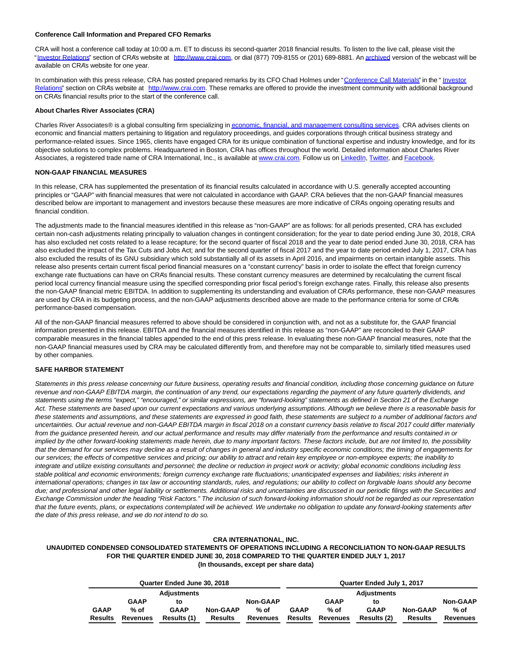#### **Conference Call Information and Prepared CFO Remarks**

CRA will host a conference call today at 10:00 a.m. ET to discuss its second-quarter 2018 financial results. To listen to the live call, please visit the ["Investor Relations"](http://cts.businesswire.com/ct/CT?id=smartlink&url=https%3A%2F%2Fcrainternationalinc.gcs-web.com%2Finvestor-overview&esheet=51846950&newsitemid=20180802005412&lan=en-US&anchor=Investor+Relations&index=4&md5=a7ae4e6dab125b85274e7960af8512b7) section of CRA's website at [http://www.crai.com,](http://cts.businesswire.com/ct/CT?id=smartlink&url=http%3A%2F%2Fwww.crai.com%2FDefault.aspx&esheet=51846950&newsitemid=20180802005412&lan=en-US&anchor=http%3A%2F%2Fwww.crai.com&index=5&md5=8f0c15f47d52f4aa3e413b406b1404d0) or dial (877) 709-8155 or (201) 689-8881. A[n archived v](http://cts.businesswire.com/ct/CT?id=smartlink&url=https%3A%2F%2Fcrainternationalinc.gcs-web.com%2Fevents%2Fevent-details%2Fq2-2018-charles-river-associates-earnings-conference-call&esheet=51846950&newsitemid=20180802005412&lan=en-US&anchor=archived&index=6&md5=e64814a56ea6541e00ce8e54886cce09)ersion of the webcast will be available on CRA's website for one year.

In combination with this press release, CRA has posted prepared remarks by its CFO Chad Holmes under ["Conference Call Materials"](http://cts.businesswire.com/ct/CT?id=smartlink&url=https%3A%2F%2Fcrainternationalinc.gcs-web.com%2Ffinancial-information%2Fquarterly-results&esheet=51846950&newsitemid=20180802005412&lan=en-US&anchor=Conference+Call+Materials&index=7&md5=1bb5445b6c0d57e1579af5baf4e24c2c) in the " [Investor](http://cts.businesswire.com/ct/CT?id=smartlink&url=https%3A%2F%2Fcrainternationalinc.gcs-web.com%2Finvestor-overview&esheet=51846950&newsitemid=20180802005412&lan=en-US&anchor=Investor+Relations&index=8&md5=47df85553d5311b65bfcb1422adcc4c7) Relations" section on CRA's website at [http://www.crai.com.](http://cts.businesswire.com/ct/CT?id=smartlink&url=http%3A%2F%2Fwww.crai.com%2FDefault.aspx&esheet=51846950&newsitemid=20180802005412&lan=en-US&anchor=http%3A%2F%2Fwww.crai.com&index=9&md5=cf736400390575624b1ec92f274c42b3) These remarks are offered to provide the investment community with additional background on CRA's financial results prior to the start of the conference call.

# **About Charles River Associates (CRA)**

Charles River Associates® is a global consulting firm specializing in [economic, financial, and management consulting services.](http://cts.businesswire.com/ct/CT?id=smartlink&url=http%3A%2F%2Fwww.crai.com%2F&esheet=51846950&newsitemid=20180802005412&lan=en-US&anchor=economic%2C+financial%2C+and+management+consulting+services&index=10&md5=d4d531f07719ff0d8463b0eb4f4b78ca) CRA advises clients on economic and financial matters pertaining to litigation and regulatory proceedings, and guides corporations through critical business strategy and performance-related issues. Since 1965, clients have engaged CRA for its unique combination of functional expertise and industry knowledge, and for its objective solutions to complex problems. Headquartered in Boston, CRA has offices throughout the world. Detailed information about Charles River Associates, a registered trade name of CRA International, Inc., is available at [www.crai.com.](http://cts.businesswire.com/ct/CT?id=smartlink&url=http%3A%2F%2Fwww.crai.com&esheet=51846950&newsitemid=20180802005412&lan=en-US&anchor=www.crai.com&index=11&md5=d8ab99684a066e91b6a59c64a58e2191) Follow us o[n LinkedIn,](http://cts.businesswire.com/ct/CT?id=smartlink&url=https%3A%2F%2Fwww.linkedin.com%2Fcompany%2Fcharles-river-associates&esheet=51846950&newsitemid=20180802005412&lan=en-US&anchor=LinkedIn&index=12&md5=b68421dfcf2a496721851a799d3ad553) [Twitter,](http://cts.businesswire.com/ct/CT?id=smartlink&url=https%3A%2F%2Ftwitter.com%2FNews_CRA&esheet=51846950&newsitemid=20180802005412&lan=en-US&anchor=Twitter&index=13&md5=cb5aded19081a261f4555a91344186ec) and [Facebook.](http://cts.businesswire.com/ct/CT?id=smartlink&url=https%3A%2F%2Fwww.facebook.com%2FCharlesRiverAssociates&esheet=51846950&newsitemid=20180802005412&lan=en-US&anchor=Facebook&index=14&md5=10481207a5af0cd5f28c12a994c755cd)

# **NON-GAAP FINANCIAL MEASURES**

In this release, CRA has supplemented the presentation of its financial results calculated in accordance with U.S. generally accepted accounting principles or "GAAP" with financial measures that were not calculated in accordance with GAAP. CRA believes that the non-GAAP financial measures described below are important to management and investors because these measures are more indicative of CRA's ongoing operating results and financial condition.

The adjustments made to the financial measures identified in this release as "non-GAAP" are as follows: for all periods presented, CRA has excluded certain non-cash adjustments relating principally to valuation changes in contingent consideration; for the year to date period ending June 30, 2018, CRA has also excluded net costs related to a lease recapture; for the second quarter of fiscal 2018 and the year to date period ended June 30, 2018, CRA has also excluded the impact of the Tax Cuts and Jobs Act; and for the second quarter of fiscal 2017 and the year to date period ended July 1, 2017, CRA has also excluded the results of its GNU subsidiary which sold substantially all of its assets in April 2016, and impairments on certain intangible assets. This release also presents certain current fiscal period financial measures on a "constant currency" basis in order to isolate the effect that foreign currency exchange rate fluctuations can have on CRA's financial results. These constant currency measures are determined by recalculating the current fiscal period local currency financial measure using the specified corresponding prior fiscal period's foreign exchange rates. Finally, this release also presents the non-GAAP financial metric EBITDA. In addition to supplementing its understanding and evaluation of CRA's performance, these non-GAAP measures are used by CRA in its budgeting process, and the non-GAAP adjustments described above are made to the performance criteria for some of CRA's performance-based compensation.

All of the non-GAAP financial measures referred to above should be considered in conjunction with, and not as a substitute for, the GAAP financial information presented in this release. EBITDA and the financial measures identified in this release as "non-GAAP" are reconciled to their GAAP comparable measures in the financial tables appended to the end of this press release. In evaluating these non-GAAP financial measures, note that the non-GAAP financial measures used by CRA may be calculated differently from, and therefore may not be comparable to, similarly titled measures used by other companies.

# **SAFE HARBOR STATEMENT**

Statements in this press release concerning our future business, operating results and financial condition, including those concerning guidance on future revenue and non-GAAP EBITDA margin, the continuation of any trend, our expectations regarding the payment of any future quarterly dividends, and statements using the terms "expect," "encouraged," or similar expressions, are "forward-looking" statements as defined in Section 21 of the Exchange Act. These statements are based upon our current expectations and various underlying assumptions. Although we believe there is a reasonable basis for these statements and assumptions, and these statements are expressed in good faith, these statements are subject to a number of additional factors and uncertainties. Our actual revenue and non-GAAP EBITDA margin in fiscal 2018 on a constant currency basis relative to fiscal 2017 could differ materially from the guidance presented herein, and our actual performance and results may differ materially from the performance and results contained in or implied by the other forward-looking statements made herein, due to many important factors. These factors include, but are not limited to, the possibility that the demand for our services may decline as a result of changes in general and industry specific economic conditions; the timing of engagements for our services; the effects of competitive services and pricing; our ability to attract and retain key employee or non-employee experts; the inability to integrate and utilize existing consultants and personnel; the decline or reduction in project work or activity; global economic conditions including less stable political and economic environments; foreign currency exchange rate fluctuations; unanticipated expenses and liabilities; risks inherent in international operations; changes in tax law or accounting standards, rules, and regulations; our ability to collect on forgivable loans should any become due; and professional and other legal liability or settlements. Additional risks and uncertainties are discussed in our periodic filings with the Securities and Exchange Commission under the heading "Risk Factors." The inclusion of such forward-looking information should not be regarded as our representation that the future events, plans, or expectations contemplated will be achieved. We undertake no obligation to update any forward-looking statements after the date of this press release, and we do not intend to do so.

# **CRA INTERNATIONAL, INC.**

# **UNAUDITED CONDENSED CONSOLIDATED STATEMENTS OF OPERATIONS INCLUDING A RECONCILIATION TO NON-GAAP RESULTS FOR THE QUARTER ENDED JUNE 30, 2018 COMPARED TO THE QUARTER ENDED JULY 1, 2017 (In thousands, except per share data)**

|                    |             | Quarter Ended June 30, 2018 |                 |                 | Quarter Ended July 1, 2017 |                    |                    |                 |                 |  |  |  |  |
|--------------------|-------------|-----------------------------|-----------------|-----------------|----------------------------|--------------------|--------------------|-----------------|-----------------|--|--|--|--|
| <b>Adjustments</b> |             |                             |                 |                 |                            | <b>Adjustments</b> |                    |                 |                 |  |  |  |  |
|                    | <b>GAAP</b> | to                          |                 | <b>Non-GAAP</b> |                            | <b>GAAP</b>        | to                 |                 | <b>Non-GAAP</b> |  |  |  |  |
| <b>GAAP</b>        | % of        | <b>GAAP</b>                 | <b>Non-GAAP</b> | % of            | <b>GAAP</b>                | % of               | <b>GAAP</b>        | <b>Non-GAAP</b> | % of            |  |  |  |  |
| <b>Results</b>     | Revenues    | Results (1)                 | <b>Results</b>  | Revenues        | Results                    | Revenues           | <b>Results</b> (2) | Results         | <b>Revenues</b> |  |  |  |  |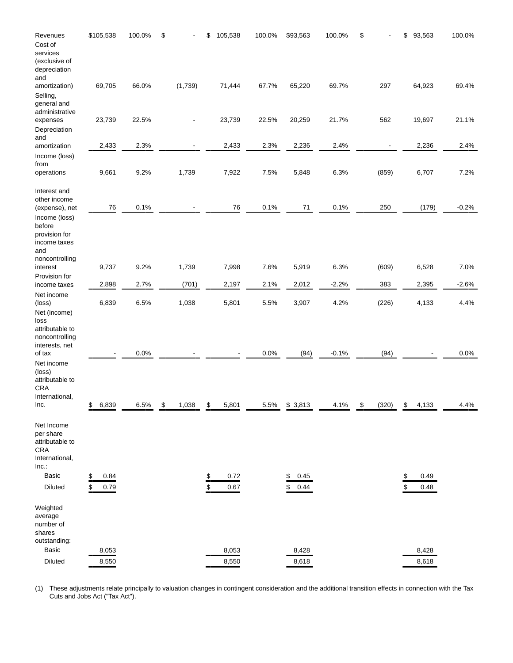| Revenues<br>Cost of<br>services<br>(exclusive of<br>depreciation                   | \$105,538              | 100.0% | \$      | \$ | 105,538 | 100.0% | \$93,563  | 100.0%  | \$                           | \$<br>93,563 | 100.0%  |
|------------------------------------------------------------------------------------|------------------------|--------|---------|----|---------|--------|-----------|---------|------------------------------|--------------|---------|
| and<br>amortization)<br>Selling,<br>general and                                    | 69,705                 | 66.0%  | (1,739) |    | 71,444  | 67.7%  | 65,220    | 69.7%   | 297                          | 64,923       | 69.4%   |
| administrative<br>expenses<br>Depreciation                                         | 23,739                 | 22.5%  |         |    | 23,739  | 22.5%  | 20,259    | 21.7%   | 562                          | 19,697       | 21.1%   |
| and                                                                                |                        |        |         |    |         |        |           |         |                              |              |         |
| amortization                                                                       | 2,433                  | 2.3%   |         |    | 2,433   | 2.3%   | 2,236     | 2.4%    | $\qquad \qquad \blacksquare$ | 2,236        | 2.4%    |
| Income (loss)<br>from                                                              |                        |        |         |    |         |        |           |         |                              |              |         |
| operations                                                                         | 9,661                  | 9.2%   | 1,739   |    | 7,922   | 7.5%   | 5,848     | 6.3%    | (859)                        | 6,707        | 7.2%    |
| Interest and<br>other income                                                       |                        |        |         |    |         |        |           |         |                              |              |         |
| (expense), net                                                                     | 76                     | 0.1%   |         |    | 76      | 0.1%   | 71        | 0.1%    | 250                          | (179)        | $-0.2%$ |
| Income (loss)<br>before<br>provision for<br>income taxes                           |                        |        |         |    |         |        |           |         |                              |              |         |
| and<br>noncontrolling                                                              |                        |        |         |    |         |        |           |         |                              |              |         |
| interest                                                                           | 9,737                  | 9.2%   | 1,739   |    | 7,998   | 7.6%   | 5,919     | 6.3%    | (609)                        | 6,528        | 7.0%    |
| Provision for<br>income taxes                                                      | 2,898                  | 2.7%   | (701)   |    | 2,197   | 2.1%   | 2,012     | $-2.2%$ | 383                          | 2,395        | $-2.6%$ |
| Net income<br>(loss)<br>Net (income)                                               | 6,839                  | 6.5%   | 1,038   |    | 5,801   | 5.5%   | 3,907     | 4.2%    | (226)                        | 4,133        | 4.4%    |
| loss<br>attributable to<br>noncontrolling<br>interests, net<br>of tax              |                        | 0.0%   |         |    |         | 0.0%   | (94)      | $-0.1%$ | (94)                         |              | 0.0%    |
| Net income<br>(loss)<br>attributable to<br><b>CRA</b>                              |                        |        |         |    |         |        |           |         |                              |              |         |
| International,<br>Inc.                                                             | $\mathcal{L}$<br>6,839 | 6.5%   | 1,038   |    | 5,801   | 5.5%   | 3,813     | 4.1%    | (320)                        | 4,133        | 4.4%    |
| Net Income<br>per share<br>attributable to<br><b>CRA</b><br>International,<br>Inc. |                        |        |         |    |         |        |           |         |                              |              |         |
| Basic                                                                              | \$<br>0.84             |        |         | \$ | 0.72    |        | 0.45<br>S |         |                              | \$<br>0.49   |         |
| <b>Diluted</b>                                                                     | \$<br>0.79             |        |         | \$ | 0.67    |        | \$0.44    |         |                              | \$<br>0.48   |         |
| Weighted<br>average<br>number of<br>shares<br>outstanding:                         |                        |        |         |    |         |        |           |         |                              |              |         |
| <b>Basic</b>                                                                       | 8,053                  |        |         |    | 8,053   |        | 8,428     |         |                              | 8,428        |         |
| Diluted                                                                            | 8,550                  |        |         |    | 8,550   |        | 8,618     |         |                              | 8,618        |         |

(1) These adjustments relate principally to valuation changes in contingent consideration and the additional transition effects in connection with the Tax Cuts and Jobs Act ("Tax Act").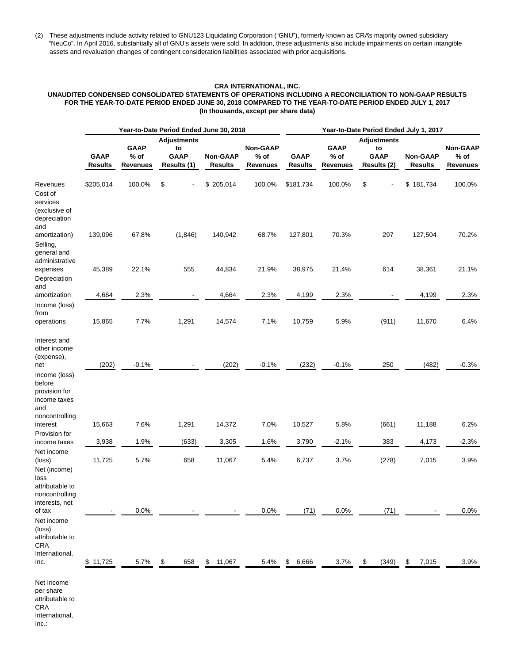(2) These adjustments include activity related to GNU123 Liquidating Corporation ("GNU"), formerly known as CRA's majority owned subsidiary "NeuCo". In April 2016, substantially all of GNU's assets were sold. In addition, these adjustments also include impairments on certain intangible assets and revaluation changes of contingent consideration liabilities associated with prior acquisitions.

# **CRA INTERNATIONAL, INC.**

# **UNAUDITED CONDENSED CONSOLIDATED STATEMENTS OF OPERATIONS INCLUDING A RECONCILIATION TO NON-GAAP RESULTS FOR THE YEAR-TO-DATE PERIOD ENDED JUNE 30, 2018 COMPARED TO THE YEAR-TO-DATE PERIOD ENDED JULY 1, 2017 (In thousands, except per share data)**

|                                                                                                        |                               |                                          | Year-to-Date Period Ended June 30, 2018                |                                   | Year-to-Date Period Ended July 1, 2017       |                               |                                 |                                                        |                                   |                                              |  |  |  |
|--------------------------------------------------------------------------------------------------------|-------------------------------|------------------------------------------|--------------------------------------------------------|-----------------------------------|----------------------------------------------|-------------------------------|---------------------------------|--------------------------------------------------------|-----------------------------------|----------------------------------------------|--|--|--|
|                                                                                                        | <b>GAAP</b><br><b>Results</b> | <b>GAAP</b><br>$%$ of<br><b>Revenues</b> | <b>Adjustments</b><br>to<br><b>GAAP</b><br>Results (1) | <b>Non-GAAP</b><br><b>Results</b> | <b>Non-GAAP</b><br>$%$ of<br><b>Revenues</b> | <b>GAAP</b><br><b>Results</b> | <b>GAAP</b><br>% of<br>Revenues | <b>Adjustments</b><br>to<br><b>GAAP</b><br>Results (2) | <b>Non-GAAP</b><br><b>Results</b> | <b>Non-GAAP</b><br>$%$ of<br><b>Revenues</b> |  |  |  |
| Revenues<br>Cost of<br>services<br>(exclusive of<br>depreciation                                       | \$205,014                     | 100.0%                                   | \$                                                     | \$ 205,014                        | 100.0%                                       | \$181,734                     | 100.0%                          | \$                                                     | \$181,734                         | 100.0%                                       |  |  |  |
| and<br>amortization)<br>Selling,<br>general and<br>administrative                                      | 139,096                       | 67.8%                                    | (1,846)                                                | 140,942                           | 68.7%                                        | 127,801                       | 70.3%                           | 297                                                    | 127,504                           | 70.2%                                        |  |  |  |
| expenses<br>Depreciation<br>and                                                                        | 45,389                        | 22.1%                                    | 555                                                    | 44,834                            | 21.9%                                        | 38,975                        | 21.4%                           | 614                                                    | 38,361                            | 21.1%                                        |  |  |  |
| amortization<br>Income (loss)<br>from                                                                  | 4,664                         | 2.3%                                     |                                                        | 4,664                             | 2.3%                                         | 4,199                         | 2.3%                            |                                                        | 4,199                             | 2.3%                                         |  |  |  |
| operations<br>Interest and<br>other income                                                             | 15,865                        | 7.7%                                     | 1,291                                                  | 14,574                            | 7.1%                                         | 10,759                        | 5.9%                            | (911)                                                  | 11,670                            | 6.4%                                         |  |  |  |
| (expense),<br>net<br>Income (loss)<br>before<br>provision for<br>income taxes<br>and<br>noncontrolling | (202)                         | $-0.1%$                                  |                                                        | (202)                             | $-0.1%$                                      | (232)                         | $-0.1%$                         | 250                                                    | (482)                             | $-0.3%$                                      |  |  |  |
| interest<br>Provision for                                                                              | 15,663                        | 7.6%                                     | 1,291                                                  | 14,372                            | 7.0%                                         | 10,527                        | 5.8%                            | (661)                                                  | 11,188                            | 6.2%                                         |  |  |  |
| income taxes<br>Net income<br>(loss)<br>Net (income)<br>loss                                           | 3,938<br>11,725               | 1.9%<br>5.7%                             | (633)<br>658                                           | 3,305<br>11,067                   | 1.6%<br>5.4%                                 | 3,790<br>6,737                | $-2.1%$<br>3.7%                 | 383<br>(278)                                           | 4,173<br>7,015                    | $-2.3%$<br>3.9%                              |  |  |  |
| attributable to<br>noncontrolling<br>interests, net<br>of tax                                          |                               | 0.0%                                     |                                                        |                                   | 0.0%                                         | (71)                          | 0.0%                            | (71)                                                   |                                   | 0.0%                                         |  |  |  |
| Net income<br>(loss)<br>attributable to<br><b>CRA</b><br>International,<br>Inc.                        | \$11,725                      | 5.7%                                     | \$<br>658                                              | 11,067<br>\$                      | 5.4%                                         | \$<br>6,666                   | 3.7%                            | \$<br>(349)                                            | 7,015<br>\$                       | 3.9%                                         |  |  |  |
| Net Income<br>per share<br>attributable to<br>CRA                                                      |                               |                                          |                                                        |                                   |                                              |                               |                                 |                                                        |                                   |                                              |  |  |  |

International,

Inc.: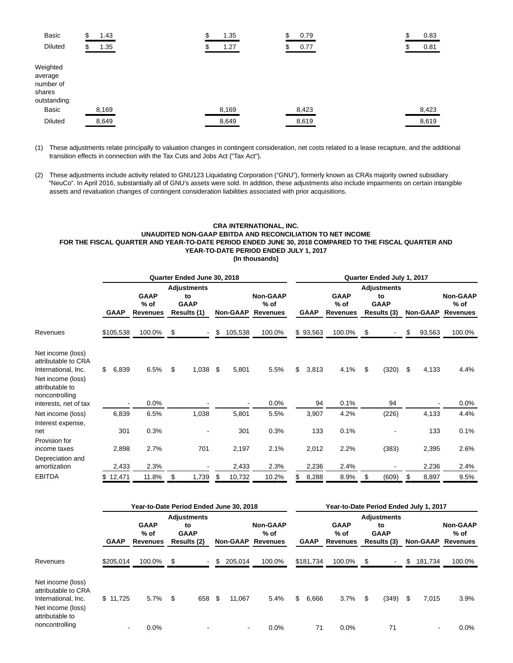| <b>Basic</b>                                               | J | 1.43  | Φ | 1.35  | \$<br>0.79 | \$<br>0.83 |
|------------------------------------------------------------|---|-------|---|-------|------------|------------|
| <b>Diluted</b>                                             |   | 1.35  |   | 1.27  | 0.77       | 0.81       |
| Weighted<br>average<br>number of<br>shares<br>outstanding: |   |       |   |       |            |            |
| Basic                                                      |   | 8,169 |   | 8,169 | 8,423      | 8,423      |
| <b>Diluted</b>                                             |   | 8,649 |   | 8,649 | 8,619      | 8,619      |

(1) These adjustments relate principally to valuation changes in contingent consideration, net costs related to a lease recapture, and the additional transition effects in connection with the Tax Cuts and Jobs Act ("Tax Act").

(2) These adjustments include activity related to GNU123 Liquidating Corporation ("GNU"), formerly known as CRA's majority owned subsidiary "NeuCo". In April 2016, substantially all of GNU's assets were sold. In addition, these adjustments also include impairments on certain intangible assets and revaluation changes of contingent consideration liabilities associated with prior acquisitions.

# **CRA INTERNATIONAL, INC. UNAUDITED NON-GAAP EBITDA AND RECONCILIATION TO NET INCOME FOR THE FISCAL QUARTER AND YEAR-TO-DATE PERIOD ENDED JUNE 30, 2018 COMPARED TO THE FISCAL QUARTER AND YEAR-TO-DATE PERIOD ENDED JULY 1, 2017 (In thousands)**

|                                                                                                                                                    | Quarter Ended June 30, 2018 |              |                                          |    |                                                        |    |                 |                                       |    | Quarter Ended July 1, 2017 |                                          |    |                                                        |    |                 |                                              |  |  |
|----------------------------------------------------------------------------------------------------------------------------------------------------|-----------------------------|--------------|------------------------------------------|----|--------------------------------------------------------|----|-----------------|---------------------------------------|----|----------------------------|------------------------------------------|----|--------------------------------------------------------|----|-----------------|----------------------------------------------|--|--|
|                                                                                                                                                    | <b>GAAP</b>                 |              | <b>GAAP</b><br>$%$ of<br><b>Revenues</b> |    | <b>Adjustments</b><br>to<br><b>GAAP</b><br>Results (1) |    | <b>Non-GAAP</b> | Non-GAAP<br>$%$ of<br><b>Revenues</b> |    | <b>GAAP</b>                | <b>GAAP</b><br>$%$ of<br><b>Revenues</b> |    | <b>Adjustments</b><br>to<br><b>GAAP</b><br>Results (3) |    | <b>Non-GAAP</b> | <b>Non-GAAP</b><br>$%$ of<br><b>Revenues</b> |  |  |
| Revenues                                                                                                                                           | \$105,538                   |              | 100.0%                                   | \$ |                                                        | \$ | 105,538         | 100.0%                                |    | \$93,563                   | 100.0%                                   | \$ |                                                        | \$ | 93,563          | 100.0%                                       |  |  |
| Net income (loss)<br>attributable to CRA<br>International, Inc.<br>Net income (loss)<br>attributable to<br>noncontrolling<br>interests, net of tax | \$                          | 6,839        | 6.5%<br>0.0%                             | \$ | 1,038                                                  | \$ | 5,801           | 5.5%<br>0.0%                          | \$ | 3,813<br>94                | 4.1%<br>0.1%                             | \$ | (320)<br>94                                            | \$ | 4,133           | 4.4%<br>$0.0\%$                              |  |  |
| Net income (loss)                                                                                                                                  |                             | 6,839        | 6.5%                                     |    | 1,038                                                  |    | 5,801           | 5.5%                                  |    | 3,907                      | 4.2%                                     |    | (226)                                                  |    | 4,133           | 4.4%                                         |  |  |
| Interest expense,<br>net<br>Provision for<br>income taxes                                                                                          |                             | 301<br>2,898 | 0.3%<br>2.7%                             |    | 701                                                    |    | 301<br>2,197    | 0.3%<br>2.1%                          |    | 133<br>2,012               | 0.1%<br>2.2%                             |    | (383)                                                  |    | 133<br>2,395    | 0.1%<br>2.6%                                 |  |  |
| Depreciation and<br>amortization                                                                                                                   |                             | 2,433        | 2.3%                                     |    |                                                        |    | 2,433           | 2.3%                                  |    | 2,236                      | 2.4%                                     |    |                                                        |    | 2,236           | 2.4%                                         |  |  |
| <b>EBITDA</b>                                                                                                                                      | \$12,471                    |              | 11.8%                                    | \$ | 1,739                                                  | \$ | 10,732          | 10.2%                                 | \$ | 8,288                      | 8.9%                                     | \$ | (609)                                                  | \$ | 8,897           | 9.5%                                         |  |  |

|                                                                                                         |             | Year-to-Date Period Ended June 30, 2018  |                                                        |     |    |                 |                                            | Year-to-Date Period Ended July 1, 2017 |             |                                          |    |                                                        |     |                 |                                       |  |
|---------------------------------------------------------------------------------------------------------|-------------|------------------------------------------|--------------------------------------------------------|-----|----|-----------------|--------------------------------------------|----------------------------------------|-------------|------------------------------------------|----|--------------------------------------------------------|-----|-----------------|---------------------------------------|--|
|                                                                                                         | <b>GAAP</b> | <b>GAAP</b><br>$%$ of<br><b>Revenues</b> | <b>Adjustments</b><br>to<br><b>GAAP</b><br>Results (2) |     |    | <b>Non-GAAP</b> | <b>Non-GAAP</b><br>% of<br><b>Revenues</b> |                                        | <b>GAAP</b> | <b>GAAP</b><br>$%$ of<br><b>Revenues</b> |    | <b>Adjustments</b><br>to<br><b>GAAP</b><br>Results (3) |     | <b>Non-GAAP</b> | <b>Non-GAAP</b><br>$%$ of<br>Revenues |  |
| Revenues                                                                                                | \$205,014   | 100.0%                                   | S                                                      | ۰.  | S  | 205,014         | 100.0%                                     |                                        | \$181,734   | 100.0%                                   | \$ |                                                        | \$. | 181,734         | 100.0%                                |  |
| Net income (loss)<br>attributable to CRA<br>International, Inc.<br>Net income (loss)<br>attributable to | \$11.725    | 5.7%                                     | \$                                                     | 658 | \$ | 11,067          | 5.4%                                       | \$                                     | 6,666       | 3.7%                                     | \$ | (349)                                                  | \$  | 7,015           | 3.9%                                  |  |
| noncontrolling                                                                                          |             | 0.0%                                     |                                                        |     |    |                 | 0.0%                                       |                                        | 71          | 0.0%                                     |    | 71                                                     |     |                 | 0.0%                                  |  |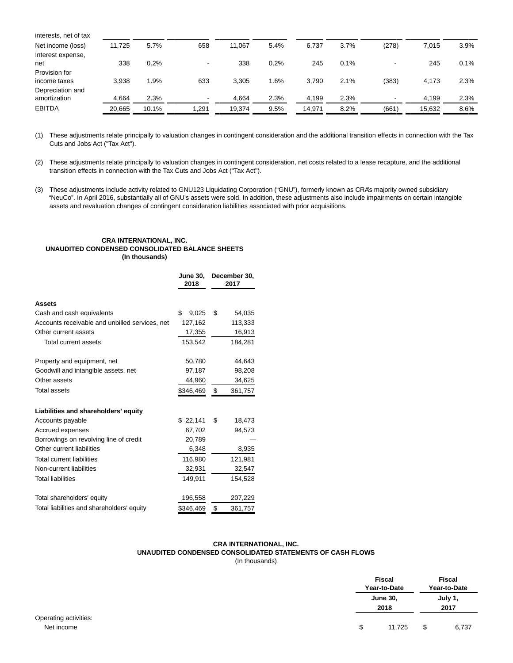| interests, net of tax |        |       |                |        |      |        |      |       |        |      |
|-----------------------|--------|-------|----------------|--------|------|--------|------|-------|--------|------|
| Net income (loss)     | 11.725 | 5.7%  | 658            | 11.067 | 5.4% | 6,737  | 3.7% | (278) | 7,015  | 3.9% |
| Interest expense,     |        |       |                |        |      |        |      |       |        |      |
| net                   | 338    | 0.2%  |                | 338    | 0.2% | 245    | 0.1% |       | 245    | 0.1% |
| Provision for         |        |       |                |        |      |        |      |       |        |      |
| income taxes          | 3.938  | 1.9%  | 633            | 3.305  | 1.6% | 3.790  | 2.1% | (383) | 4,173  | 2.3% |
| Depreciation and      |        |       |                |        |      |        |      |       |        |      |
| amortization          | 4.664  | 2.3%  | $\blacksquare$ | 4.664  | 2.3% | 4.199  | 2.3% |       | 4.199  | 2.3% |
| <b>EBITDA</b>         | 20,665 | 10.1% | 1,291          | 19,374 | 9.5% | 14,971 | 8.2% | (661) | 15,632 | 8.6% |
|                       |        |       |                |        |      |        |      |       |        |      |

(1) These adjustments relate principally to valuation changes in contingent consideration and the additional transition effects in connection with the Tax Cuts and Jobs Act ("Tax Act").

- (2) These adjustments relate principally to valuation changes in contingent consideration, net costs related to a lease recapture, and the additional transition effects in connection with the Tax Cuts and Jobs Act ("Tax Act").
- (3) These adjustments include activity related to GNU123 Liquidating Corporation ("GNU"), formerly known as CRA's majority owned subsidiary "NeuCo". In April 2016, substantially all of GNU's assets were sold. In addition, these adjustments also include impairments on certain intangible assets and revaluation changes of contingent consideration liabilities associated with prior acquisitions.

#### **CRA INTERNATIONAL, INC. UNAUDITED CONDENSED CONSOLIDATED BALANCE SHEETS (In thousands)**

|                                                | <b>June 30,</b><br>2018 | December 30,<br>2017 |
|------------------------------------------------|-------------------------|----------------------|
| <b>Assets</b>                                  |                         |                      |
| Cash and cash equivalents                      | \$<br>9,025             | \$<br>54,035         |
| Accounts receivable and unbilled services, net | 127,162                 | 113,333              |
| Other current assets                           | 17,355                  | 16,913               |
| <b>Total current assets</b>                    | 153,542                 | 184,281              |
| Property and equipment, net                    | 50,780                  | 44,643               |
| Goodwill and intangible assets, net            | 97,187                  | 98,208               |
| Other assets                                   | 44,960                  | 34,625               |
| <b>Total assets</b>                            | \$346,469               | - \$<br>361,757      |
| Liabilities and shareholders' equity           |                         |                      |
| Accounts payable                               | \$22,141                | \$<br>18,473         |
| Accrued expenses                               | 67,702                  | 94,573               |
| Borrowings on revolving line of credit         | 20,789                  |                      |
| Other current liabilities                      | 6,348                   | 8,935                |
| <b>Total current liabilities</b>               | 116,980                 | 121,981              |
| Non-current liabilities                        | 32,931                  | 32,547               |
| <b>Total liabilities</b>                       | 149.911                 | 154,528              |
| Total shareholders' equity                     | 196,558                 | 207,229              |
| Total liabilities and shareholders' equity     | \$346,469               | \$<br>361,757        |

# **CRA INTERNATIONAL, INC. UNAUDITED CONDENSED CONSOLIDATED STATEMENTS OF CASH FLOWS**

(In thousands)

|                                     | <b>Fiscal</b>           | Year-to-Date |                 | <b>Fiscal</b><br>Year-to-Date |
|-------------------------------------|-------------------------|--------------|-----------------|-------------------------------|
|                                     | <b>June 30,</b><br>2018 |              | July 1,<br>2017 |                               |
| Operating activities:<br>Net income | \$                      | 11,725       | \$              | 6,737                         |